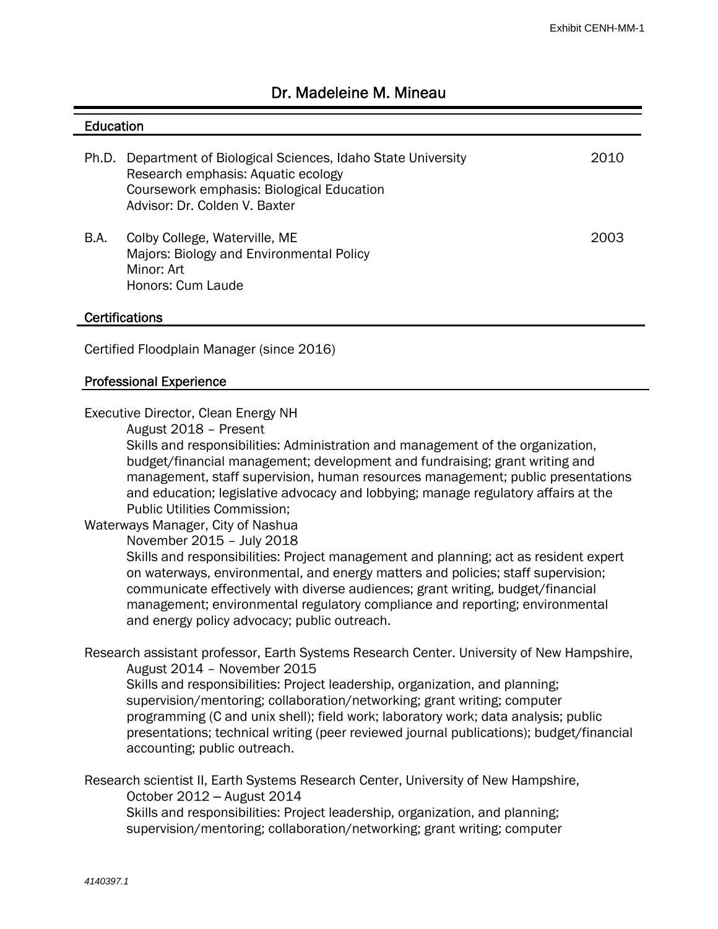# Dr. Madeleine M. Mineau

#### **Education**

|      | Ph.D. Department of Biological Sciences, Idaho State University<br>Research emphasis: Aquatic ecology<br>Coursework emphasis: Biological Education<br>Advisor: Dr. Colden V. Baxter | 2010 |
|------|-------------------------------------------------------------------------------------------------------------------------------------------------------------------------------------|------|
| B.A. | Colby College, Waterville, ME<br>Majors: Biology and Environmental Policy<br>Minor: Art<br>Honors: Cum Laude                                                                        | 2003 |

#### **Certifications**

Certified Floodplain Manager (since 2016)

#### Professional Experience

Executive Director, Clean Energy NH

August 2018 – Present

Skills and responsibilities: Administration and management of the organization, budget/financial management; development and fundraising; grant writing and management, staff supervision, human resources management; public presentations and education; legislative advocacy and lobbying; manage regulatory affairs at the Public Utilities Commission;

## Waterways Manager, City of Nashua

November 2015 – July 2018

Skills and responsibilities: Project management and planning; act as resident expert on waterways, environmental, and energy matters and policies; staff supervision; communicate effectively with diverse audiences; grant writing, budget/financial management; environmental regulatory compliance and reporting; environmental and energy policy advocacy; public outreach.

Research assistant professor, Earth Systems Research Center. University of New Hampshire, August 2014 – November 2015

Skills and responsibilities: Project leadership, organization, and planning; supervision/mentoring; collaboration/networking; grant writing; computer programming (C and unix shell); field work; laboratory work; data analysis; public presentations; technical writing (peer reviewed journal publications); budget/financial accounting; public outreach.

Research scientist II, Earth Systems Research Center, University of New Hampshire, October 2012 ‒ August 2014

Skills and responsibilities: Project leadership, organization, and planning; supervision/mentoring; collaboration/networking; grant writing; computer